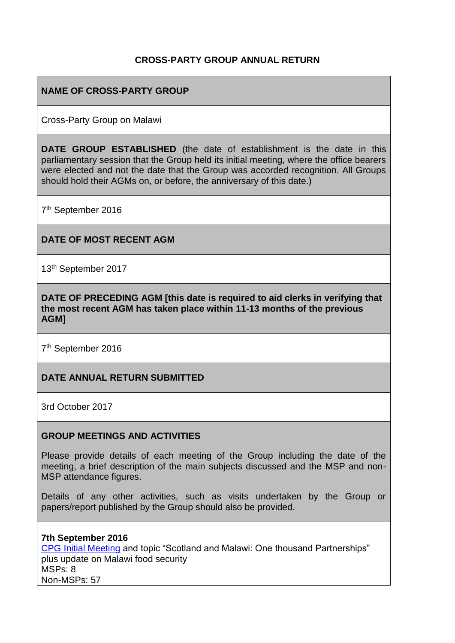## **CROSS-PARTY GROUP ANNUAL RETURN**

## **NAME OF CROSS-PARTY GROUP**

Cross-Party Group on Malawi

**DATE GROUP ESTABLISHED** (the date of establishment is the date in this parliamentary session that the Group held its initial meeting, where the office bearers were elected and not the date that the Group was accorded recognition. All Groups should hold their AGMs on, or before, the anniversary of this date.)

7<sup>th</sup> September 2016

### **DATE OF MOST RECENT AGM**

13th September 2017

**DATE OF PRECEDING AGM [this date is required to aid clerks in verifying that the most recent AGM has taken place within 11-13 months of the previous AGM]**

7<sup>th</sup> September 2016

### **DATE ANNUAL RETURN SUBMITTED**

3rd October 2017

### **GROUP MEETINGS AND ACTIVITIES**

Please provide details of each meeting of the Group including the date of the meeting, a brief description of the main subjects discussed and the MSP and non-MSP attendance figures.

Details of any other activities, such as visits undertaken by the Group or papers/report published by the Group should also be provided.

### **7th September 2016**

[CPG Initial Meeting](https://www.scotland-malawipartnership.org/news-events/past-events/cross-party-group-on-malawi1/) and topic "Scotland and Malawi: One thousand Partnerships" plus update on Malawi food security MSPs: 8 Non-MSPs: 57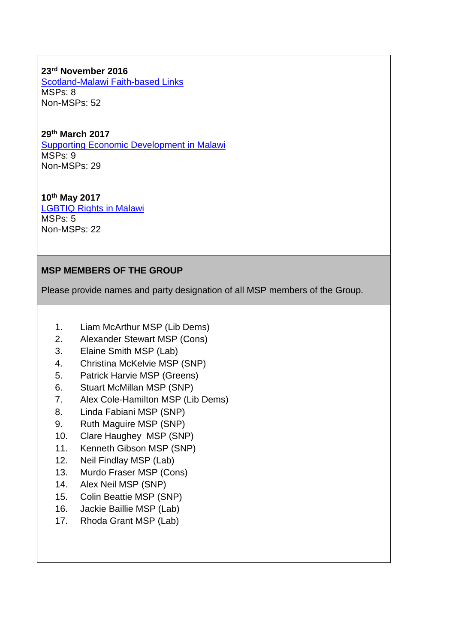**23rd November 2016** [Scotland-Malawi Faith-based Links](https://www.scotland-malawipartnership.org/news-events/past-events/cross-party-group-on-malawi11/) MSPs: 8 Non-MSPs: 52

**29th March 2017**

[Supporting Economic Development in Malawi](https://www.scotland-malawipartnership.org/news-events/past-events/cpg-on-malawi-29th-march-2017/) MSPs: 9 Non-MSPs: 29

**10th May 2017** [LGBTIQ Rights in Malawi](https://www.scotland-malawipartnership.org/news-events/past-events/cpg/) MSPs: 5 Non-MSPs: 22

## **MSP MEMBERS OF THE GROUP**

Please provide names and party designation of all MSP members of the Group.

- 1. Liam McArthur MSP (Lib Dems)
- 2. Alexander Stewart MSP (Cons)
- 3. Elaine Smith MSP (Lab)
- 4. Christina McKelvie MSP (SNP)
- 5. Patrick Harvie MSP (Greens)
- 6. Stuart McMillan MSP (SNP)
- 7. Alex Cole-Hamilton MSP (Lib Dems)
- 8. Linda Fabiani MSP (SNP)
- 9. Ruth Maguire MSP (SNP)
- 10. Clare Haughey MSP (SNP)
- 11. Kenneth Gibson MSP (SNP)
- 12. Neil Findlay MSP (Lab)
- 13. Murdo Fraser MSP (Cons)
- 14. Alex Neil MSP (SNP)
- 15. Colin Beattie MSP (SNP)
- 16. Jackie Baillie MSP (Lab)
- 17. Rhoda Grant MSP (Lab)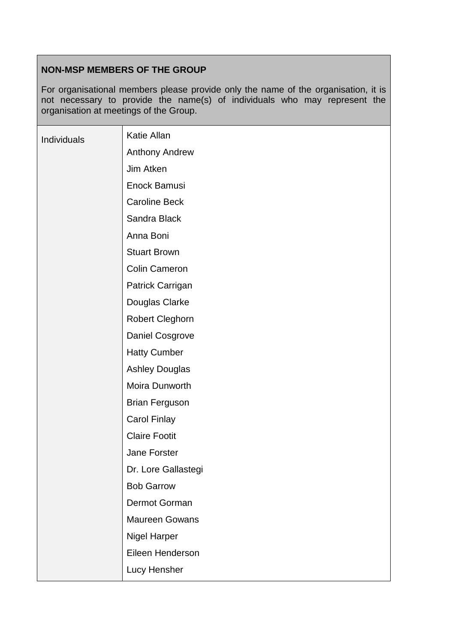# **NON-MSP MEMBERS OF THE GROUP**

For organisational members please provide only the name of the organisation, it is not necessary to provide the name(s) of individuals who may represent the organisation at meetings of the Group.

| Individuals | Katie Allan            |
|-------------|------------------------|
|             | <b>Anthony Andrew</b>  |
|             | Jim Atken              |
|             | Enock Bamusi           |
|             | <b>Caroline Beck</b>   |
|             | Sandra Black           |
|             | Anna Boni              |
|             | <b>Stuart Brown</b>    |
|             | <b>Colin Cameron</b>   |
|             | Patrick Carrigan       |
|             | Douglas Clarke         |
|             | <b>Robert Cleghorn</b> |
|             | Daniel Cosgrove        |
|             | <b>Hatty Cumber</b>    |
|             | <b>Ashley Douglas</b>  |
|             | Moira Dunworth         |
|             | <b>Brian Ferguson</b>  |
|             | <b>Carol Finlay</b>    |
|             | <b>Claire Footit</b>   |
|             | Jane Forster           |
|             | Dr. Lore Gallastegi    |
|             | <b>Bob Garrow</b>      |
|             | Dermot Gorman          |
|             | <b>Maureen Gowans</b>  |
|             | <b>Nigel Harper</b>    |
|             | Eileen Henderson       |
|             | Lucy Hensher           |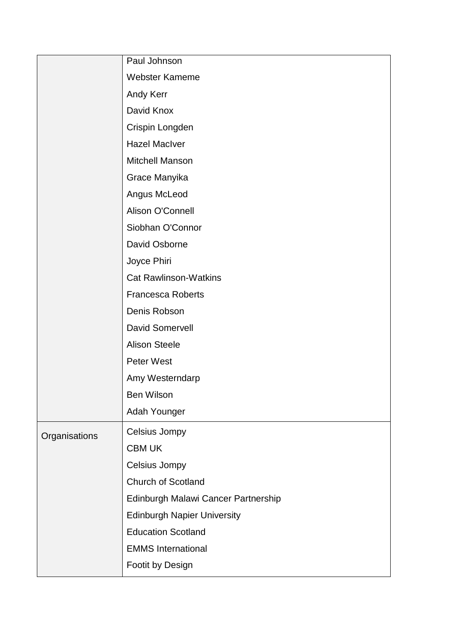|               | Paul Johnson                        |
|---------------|-------------------------------------|
|               | Webster Kameme                      |
|               | Andy Kerr                           |
|               | David Knox                          |
|               | Crispin Longden                     |
|               | <b>Hazel MacIver</b>                |
|               | <b>Mitchell Manson</b>              |
|               | Grace Manyika                       |
|               | Angus McLeod                        |
|               | Alison O'Connell                    |
|               | Siobhan O'Connor                    |
|               | David Osborne                       |
|               | Joyce Phiri                         |
|               | <b>Cat Rawlinson-Watkins</b>        |
|               | <b>Francesca Roberts</b>            |
|               | Denis Robson                        |
|               | <b>David Somervell</b>              |
|               | <b>Alison Steele</b>                |
|               | <b>Peter West</b>                   |
|               | Amy Westerndarp                     |
|               | <b>Ben Wilson</b>                   |
|               | Adah Younger                        |
| Organisations | Celsius Jompy                       |
|               | <b>CBM UK</b>                       |
|               | Celsius Jompy                       |
|               | Church of Scotland                  |
|               | Edinburgh Malawi Cancer Partnership |
|               | <b>Edinburgh Napier University</b>  |
|               | <b>Education Scotland</b>           |
|               | <b>EMMS</b> International           |
|               | Footit by Design                    |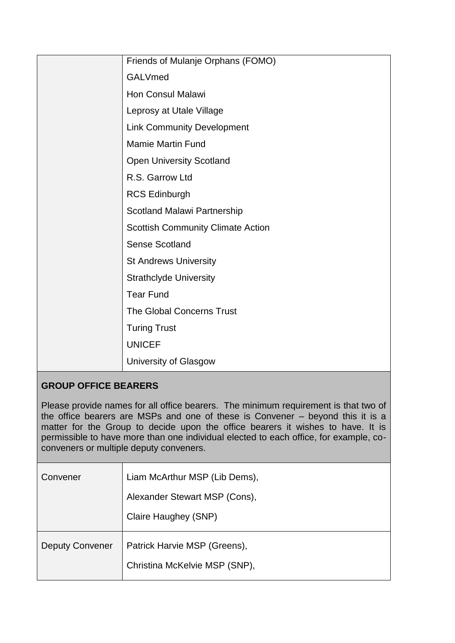| Friends of Mulanje Orphans (FOMO)        |
|------------------------------------------|
| <b>GALVmed</b>                           |
| <b>Hon Consul Malawi</b>                 |
| Leprosy at Utale Village                 |
| <b>Link Community Development</b>        |
| <b>Mamie Martin Fund</b>                 |
| <b>Open University Scotland</b>          |
| R.S. Garrow Ltd                          |
| <b>RCS Edinburgh</b>                     |
| Scotland Malawi Partnership              |
| <b>Scottish Community Climate Action</b> |
| <b>Sense Scotland</b>                    |
| <b>St Andrews University</b>             |
| <b>Strathclyde University</b>            |
| <b>Tear Fund</b>                         |
| The Global Concerns Trust                |
| <b>Turing Trust</b>                      |
| <b>UNICEF</b>                            |
| University of Glasgow                    |

# **GROUP OFFICE BEARERS**

Please provide names for all office bearers. The minimum requirement is that two of the office bearers are MSPs and one of these is Convener – beyond this it is a matter for the Group to decide upon the office bearers it wishes to have. It is permissible to have more than one individual elected to each office, for example, coconveners or multiple deputy conveners.

| Convener               | Liam McArthur MSP (Lib Dems),                                 |
|------------------------|---------------------------------------------------------------|
|                        | Alexander Stewart MSP (Cons),                                 |
|                        | Claire Haughey (SNP)                                          |
| <b>Deputy Convener</b> | Patrick Harvie MSP (Greens),<br>Christina McKelvie MSP (SNP), |